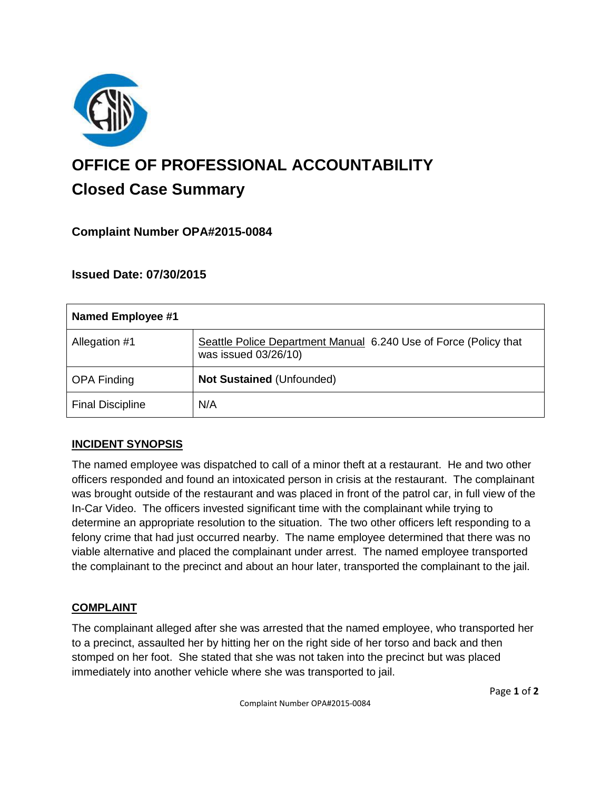

# **OFFICE OF PROFESSIONAL ACCOUNTABILITY Closed Case Summary**

# **Complaint Number OPA#2015-0084**

## **Issued Date: 07/30/2015**

| Named Employee #1       |                                                                                          |
|-------------------------|------------------------------------------------------------------------------------------|
| Allegation #1           | Seattle Police Department Manual 6.240 Use of Force (Policy that<br>was issued 03/26/10) |
| <b>OPA Finding</b>      | <b>Not Sustained (Unfounded)</b>                                                         |
| <b>Final Discipline</b> | N/A                                                                                      |

## **INCIDENT SYNOPSIS**

The named employee was dispatched to call of a minor theft at a restaurant. He and two other officers responded and found an intoxicated person in crisis at the restaurant. The complainant was brought outside of the restaurant and was placed in front of the patrol car, in full view of the In-Car Video. The officers invested significant time with the complainant while trying to determine an appropriate resolution to the situation. The two other officers left responding to a felony crime that had just occurred nearby. The name employee determined that there was no viable alternative and placed the complainant under arrest. The named employee transported the complainant to the precinct and about an hour later, transported the complainant to the jail.

## **COMPLAINT**

The complainant alleged after she was arrested that the named employee, who transported her to a precinct, assaulted her by hitting her on the right side of her torso and back and then stomped on her foot. She stated that she was not taken into the precinct but was placed immediately into another vehicle where she was transported to jail.